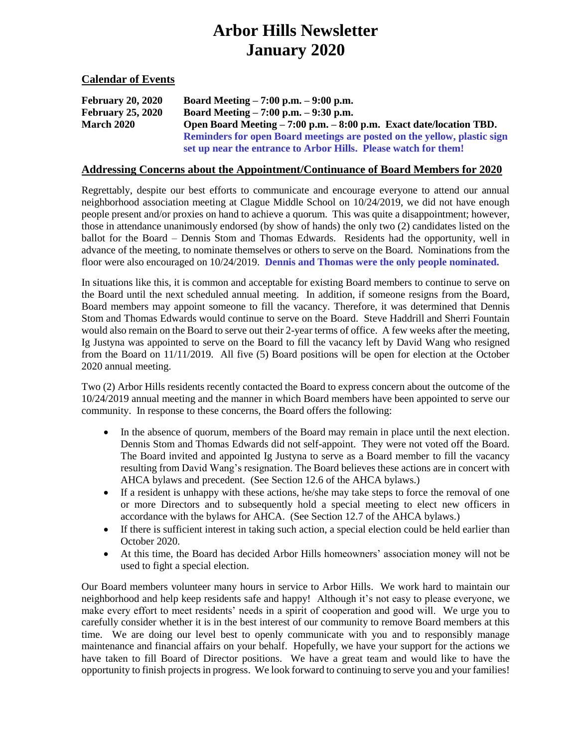# **Arbor Hills Newsletter January 2020**

**Calendar of Events**

| <b>February 20, 2020</b> | Board Meeting $-7:00$ p.m. $-9:00$ p.m.                                  |
|--------------------------|--------------------------------------------------------------------------|
| <b>February 25, 2020</b> | Board Meeting $-7:00$ p.m. $-9:30$ p.m.                                  |
| <b>March 2020</b>        | Open Board Meeting – 7:00 p.m. – 8:00 p.m. Exact date/location TBD.      |
|                          | Reminders for open Board meetings are posted on the yellow, plastic sign |
|                          | set up near the entrance to Arbor Hills. Please watch for them!          |

#### **Addressing Concerns about the Appointment/Continuance of Board Members for 2020**

Regrettably, despite our best efforts to communicate and encourage everyone to attend our annual neighborhood association meeting at Clague Middle School on 10/24/2019, we did not have enough people present and/or proxies on hand to achieve a quorum. This was quite a disappointment; however, those in attendance unanimously endorsed (by show of hands) the only two (2) candidates listed on the ballot for the Board – Dennis Stom and Thomas Edwards. Residents had the opportunity, well in advance of the meeting, to nominate themselves or others to serve on the Board. Nominations from the floor were also encouraged on 10/24/2019. **Dennis and Thomas were the only people nominated.**

In situations like this, it is common and acceptable for existing Board members to continue to serve on the Board until the next scheduled annual meeting. In addition, if someone resigns from the Board, Board members may appoint someone to fill the vacancy. Therefore, it was determined that Dennis Stom and Thomas Edwards would continue to serve on the Board. Steve Haddrill and Sherri Fountain would also remain on the Board to serve out their 2-year terms of office. A few weeks after the meeting, Ig Justyna was appointed to serve on the Board to fill the vacancy left by David Wang who resigned from the Board on 11/11/2019. All five (5) Board positions will be open for election at the October 2020 annual meeting.

Two (2) Arbor Hills residents recently contacted the Board to express concern about the outcome of the 10/24/2019 annual meeting and the manner in which Board members have been appointed to serve our community. In response to these concerns, the Board offers the following:

- In the absence of quorum, members of the Board may remain in place until the next election. Dennis Stom and Thomas Edwards did not self-appoint. They were not voted off the Board. The Board invited and appointed Ig Justyna to serve as a Board member to fill the vacancy resulting from David Wang's resignation. The Board believes these actions are in concert with AHCA bylaws and precedent. (See Section 12.6 of the AHCA bylaws.)
- If a resident is unhappy with these actions, he/she may take steps to force the removal of one or more Directors and to subsequently hold a special meeting to elect new officers in accordance with the bylaws for AHCA. (See Section 12.7 of the AHCA bylaws.)
- If there is sufficient interest in taking such action, a special election could be held earlier than October 2020.
- At this time, the Board has decided Arbor Hills homeowners' association money will not be used to fight a special election.

Our Board members volunteer many hours in service to Arbor Hills. We work hard to maintain our neighborhood and help keep residents safe and happy! Although it's not easy to please everyone, we make every effort to meet residents' needs in a spirit of cooperation and good will. We urge you to carefully consider whether it is in the best interest of our community to remove Board members at this time. We are doing our level best to openly communicate with you and to responsibly manage maintenance and financial affairs on your behalf. Hopefully, we have your support for the actions we have taken to fill Board of Director positions. We have a great team and would like to have the opportunity to finish projects in progress. We look forward to continuing to serve you and your families!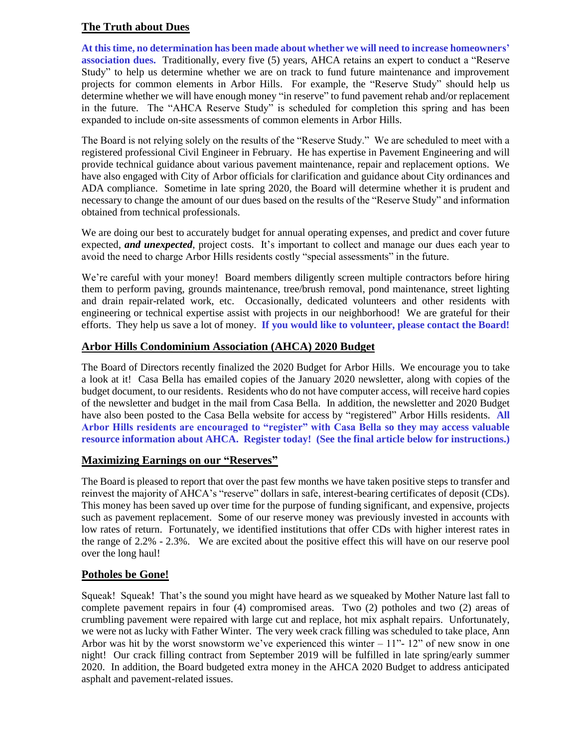# **The Truth about Dues**

**At this time, no determination has been made about whether we will need to increase homeowners' association dues.** Traditionally, every five (5) years, AHCA retains an expert to conduct a "Reserve Study" to help us determine whether we are on track to fund future maintenance and improvement projects for common elements in Arbor Hills. For example, the "Reserve Study" should help us determine whether we will have enough money "in reserve" to fund pavement rehab and/or replacement in the future. The "AHCA Reserve Study" is scheduled for completion this spring and has been expanded to include on-site assessments of common elements in Arbor Hills.

The Board is not relying solely on the results of the "Reserve Study." We are scheduled to meet with a registered professional Civil Engineer in February. He has expertise in Pavement Engineering and will provide technical guidance about various pavement maintenance, repair and replacement options. We have also engaged with City of Arbor officials for clarification and guidance about City ordinances and ADA compliance. Sometime in late spring 2020, the Board will determine whether it is prudent and necessary to change the amount of our dues based on the results of the "Reserve Study" and information obtained from technical professionals.

We are doing our best to accurately budget for annual operating expenses, and predict and cover future expected, *and unexpected*, project costs. It's important to collect and manage our dues each year to avoid the need to charge Arbor Hills residents costly "special assessments" in the future.

We're careful with your money! Board members diligently screen multiple contractors before hiring them to perform paving, grounds maintenance, tree/brush removal, pond maintenance, street lighting and drain repair-related work, etc. Occasionally, dedicated volunteers and other residents with engineering or technical expertise assist with projects in our neighborhood! We are grateful for their efforts. They help us save a lot of money. **If you would like to volunteer, please contact the Board!**

## **Arbor Hills Condominium Association (AHCA) 2020 Budget**

The Board of Directors recently finalized the 2020 Budget for Arbor Hills. We encourage you to take a look at it! Casa Bella has emailed copies of the January 2020 newsletter, along with copies of the budget document, to our residents. Residents who do not have computer access, will receive hard copies of the newsletter and budget in the mail from Casa Bella. In addition, the newsletter and 2020 Budget have also been posted to the Casa Bella website for access by "registered" Arbor Hills residents. **All Arbor Hills residents are encouraged to "register" with Casa Bella so they may access valuable resource information about AHCA. Register today! (See the final article below for instructions.)**

## **Maximizing Earnings on our "Reserves"**

The Board is pleased to report that over the past few months we have taken positive steps to transfer and reinvest the majority of AHCA's "reserve" dollars in safe, interest-bearing certificates of deposit (CDs). This money has been saved up over time for the purpose of funding significant, and expensive, projects such as pavement replacement. Some of our reserve money was previously invested in accounts with low rates of return. Fortunately, we identified institutions that offer CDs with higher interest rates in the range of 2.2% - 2.3%. We are excited about the positive effect this will have on our reserve pool over the long haul!

## **Potholes be Gone!**

Squeak! Squeak! That's the sound you might have heard as we squeaked by Mother Nature last fall to complete pavement repairs in four (4) compromised areas. Two (2) potholes and two (2) areas of crumbling pavement were repaired with large cut and replace, hot mix asphalt repairs. Unfortunately, we were not as lucky with Father Winter. The very week crack filling was scheduled to take place, Ann Arbor was hit by the worst snowstorm we've experienced this winter  $-11"$ - 12" of new snow in one night! Our crack filling contract from September 2019 will be fulfilled in late spring/early summer 2020. In addition, the Board budgeted extra money in the AHCA 2020 Budget to address anticipated asphalt and pavement-related issues.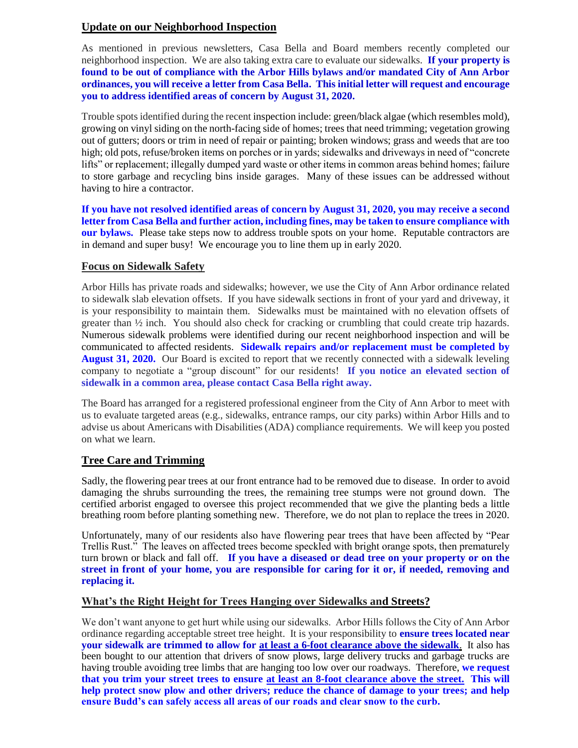## **Update on our Neighborhood Inspection**

As mentioned in previous newsletters, Casa Bella and Board members recently completed our neighborhood inspection. We are also taking extra care to evaluate our sidewalks. **If your property is found to be out of compliance with the Arbor Hills bylaws and/or mandated City of Ann Arbor ordinances, you will receive a letter from Casa Bella. This initial letter will request and encourage you to address identified areas of concern by August 31, 2020.** 

Trouble spots identified during the recent inspection include: green/black algae (which resembles mold), growing on vinyl siding on the north-facing side of homes; trees that need trimming; vegetation growing out of gutters; doors or trim in need of repair or painting; broken windows; grass and weeds that are too high; old pots, refuse/broken items on porches or in yards; sidewalks and driveways in need of "concrete" lifts" or replacement; illegally dumped yard waste or other items in common areas behind homes; failure to store garbage and recycling bins inside garages. Many of these issues can be addressed without having to hire a contractor.

**If you have not resolved identified areas of concern by August 31, 2020, you may receive a second letter from Casa Bella and further action, including fines, may be taken to ensure compliance with our bylaws.** Please take steps now to address trouble spots on your home. Reputable contractors are in demand and super busy! We encourage you to line them up in early 2020.

## **Focus on Sidewalk Safety**

Arbor Hills has private roads and sidewalks; however, we use the City of Ann Arbor ordinance related to sidewalk slab elevation offsets. If you have sidewalk sections in front of your yard and driveway, it is your responsibility to maintain them. Sidewalks must be maintained with no elevation offsets of greater than  $\frac{1}{2}$  inch. You should also check for cracking or crumbling that could create trip hazards. Numerous sidewalk problems were identified during our recent neighborhood inspection and will be communicated to affected residents. **Sidewalk repairs and/or replacement must be completed by August 31, 2020.** Our Board is excited to report that we recently connected with a sidewalk leveling company to negotiate a "group discount" for our residents! **If you notice an elevated section of sidewalk in a common area, please contact Casa Bella right away.**

The Board has arranged for a registered professional engineer from the City of Ann Arbor to meet with us to evaluate targeted areas (e.g., sidewalks, entrance ramps, our city parks) within Arbor Hills and to advise us about Americans with Disabilities (ADA) compliance requirements. We will keep you posted on what we learn.

## **Tree Care and Trimming**

Sadly, the flowering pear trees at our front entrance had to be removed due to disease. In order to avoid damaging the shrubs surrounding the trees, the remaining tree stumps were not ground down. The certified arborist engaged to oversee this project recommended that we give the planting beds a little breathing room before planting something new. Therefore, we do not plan to replace the trees in 2020.

Unfortunately, many of our residents also have flowering pear trees that have been affected by "Pear Trellis Rust." The leaves on affected trees become speckled with bright orange spots, then prematurely turn brown or black and fall off. **If you have a diseased or dead tree on your property or on the street in front of your home, you are responsible for caring for it or, if needed, removing and replacing it.**

## **What's the Right Height for Trees Hanging over Sidewalks and Streets?**

We don't want anyone to get hurt while using our sidewalks. Arbor Hills follows the City of Ann Arbor ordinance regarding acceptable street tree height. It is your responsibility to **ensure trees located near your sidewalk are trimmed to allow for at least a 6-foot clearance above the sidewalk**. It also has been bought to our attention that drivers of snow plows, large delivery trucks and garbage trucks are having trouble avoiding tree limbs that are hanging too low over our roadways. Therefore, **we request that you trim your street trees to ensure at least an 8-foot clearance above the street. This will help protect snow plow and other drivers; reduce the chance of damage to your trees; and help ensure Budd's can safely access all areas of our roads and clear snow to the curb.**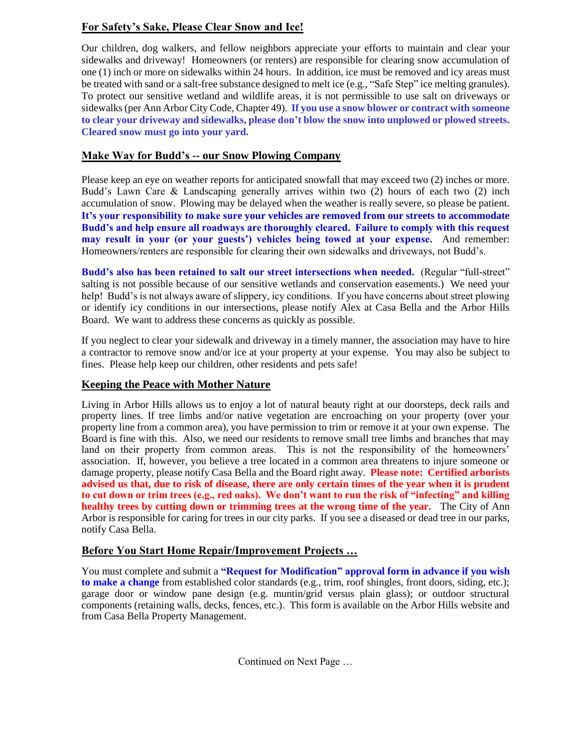# **For Safety's Sake, Please Clear Snow and Ice!**

Our children, dog walkers, and fellow neighbors appreciate your efforts to maintain and clear your sidewalks and driveway! Homeowners (or renters) are responsible for clearing snow accumulation of one (1) inch or more on sidewalks within 24 hours. In addition, ice must be removed and icy areas must be treated with sand or a salt-free substance designed to melt ice (e.g., "Safe Step" ice melting granules). To protect our sensitive wetland and wildlife areas, it is not permissible to use salt on driveways or sidewalks(per Ann Arbor City Code, Chapter 49). **If you use a snow blower or contract with someone to clear your driveway and sidewalks, please don't blow the snow into unplowed or plowed streets. Cleared snow must go into your yard.**

# **Make Way for Budd's -- our Snow Plowing Company**

Please keep an eye on weather reports for anticipated snowfall that may exceed two (2) inches or more. Budd's Lawn Care & Landscaping generally arrives within two (2) hours of each two (2) inch accumulation of snow. Plowing may be delayed when the weather is really severe, so please be patient. **It's your responsibility to make sure your vehicles are removed from our streets to accommodate Budd's and help ensure all roadways are thoroughly cleared. Failure to comply with this request may result in your (or your guests') vehicles being towed at your expense.**And remember: Homeowners/renters are responsible for clearing their own sidewalks and driveways, not Budd's.

**Budd's also has been retained to salt our street intersections when needed.** (Regular "full-street" salting is not possible because of our sensitive wetlands and conservation easements.) We need your help! Budd's is not always aware of slippery, icy conditions. If you have concerns about street plowing or identify icy conditions in our intersections, please notify Alex at Casa Bella and the Arbor Hills Board. We want to address these concerns as quickly as possible.

If you neglect to clear your sidewalk and driveway in a timely manner, the association may have to hire a contractor to remove snow and/or ice at your property at your expense. You may also be subject to fines. Please help keep our children, other residents and pets safe!

# **Keeping the Peace with Mother Nature**

Living in Arbor Hills allows us to enjoy a lot of natural beauty right at our doorsteps, deck rails and property lines. If tree limbs and/or native vegetation are encroaching on your property (over your property line from a common area), you have permission to trim or remove it at your own expense. The Board is fine with this. Also, we need our residents to remove small tree limbs and branches that may land on their property from common areas. This is not the responsibility of the homeowners' association. If, however, you believe a tree located in a common area threatens to injure someone or damage property, please notify Casa Bella and the Board right away. **Please note: Certified arborists advised us that, due to risk of disease, there are only certain times of the year when it is prudent to cut down or trim trees (e.g., red oaks). We don't want to run the risk of "infecting" and killing healthy trees by cutting down or trimming trees at the wrong time of the year.** The City of Ann Arbor is responsible for caring for trees in our city parks.If you see a diseased or dead tree in our parks, notify Casa Bella.

# **Before You Start Home Repair/Improvement Projects …**

You must complete and submit a **"Request for Modification" approval form in advance if you wish to make a change** from established color standards (e.g., trim, roof shingles, front doors, siding, etc.); garage door or window pane design (e.g. muntin/grid versus plain glass); or outdoor structural components (retaining walls, decks, fences, etc.). This form is available on the Arbor Hills website and from Casa Bella Property Management.